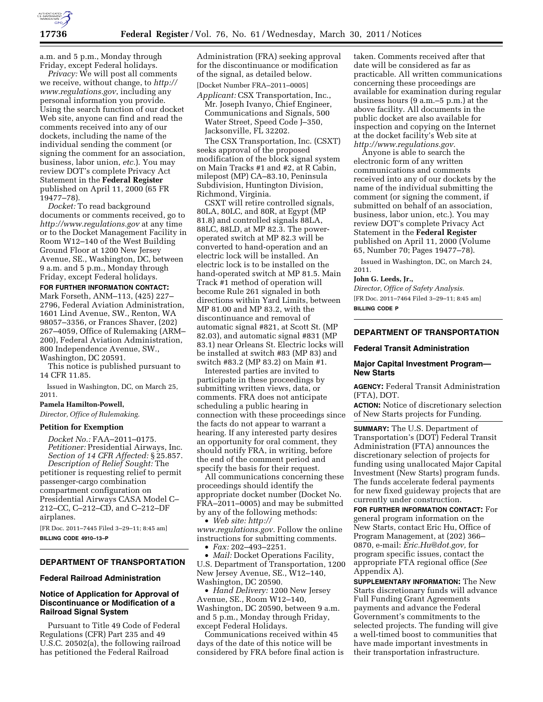

a.m. and 5 p.m., Monday through Friday, except Federal holidays.

*Privacy:* We will post all comments we receive, without change, to *[http://](http://www.regulations.gov)  [www.regulations.gov](http://www.regulations.gov)*, including any personal information you provide. Using the search function of our docket Web site, anyone can find and read the comments received into any of our dockets, including the name of the individual sending the comment (or signing the comment for an association, business, labor union, *etc.*). You may review DOT's complete Privacy Act Statement in the **Federal Register**  published on April 11, 2000 (65 FR 19477–78).

*Docket:* To read background documents or comments received, go to *<http://www.regulations.gov>* at any time or to the Docket Management Facility in Room W12–140 of the West Building Ground Floor at 1200 New Jersey Avenue, SE., Washington, DC, between 9 a.m. and 5 p.m., Monday through Friday, except Federal holidays.

**FOR FURTHER INFORMATION CONTACT:**  Mark Forseth, ANM–113, (425) 227– 2796, Federal Aviation Administration, 1601 Lind Avenue, SW., Renton, WA 98057–3356, or Frances Shaver, (202) 267–4059, Office of Rulemaking (ARM– 200), Federal Aviation Administration, 800 Independence Avenue, SW., Washington, DC 20591.

This notice is published pursuant to 14 CFR 11.85.

Issued in Washington, DC, on March 25, 2011.

# **Pamela Hamilton-Powell,**

*Director, Office of Rulemaking.* 

### **Petition for Exemption**

*Docket No.:* FAA–2011–0175. *Petitioner:* Presidential Airways, Inc. *Section of 14 CFR Affected:* § 25.857. *Description of Relief Sought:* The petitioner is requesting relief to permit passenger-cargo combination

compartment configuration on Presidential Airways CASA Model C– 212–CC, C–212–CD, and C–212–DF airplanes.

[FR Doc. 2011–7445 Filed 3–29–11; 8:45 am] **BILLING CODE 4910–13–P** 

## **DEPARTMENT OF TRANSPORTATION**

### **Federal Railroad Administration**

# **Notice of Application for Approval of Discontinuance or Modification of a Railroad Signal System**

Pursuant to Title 49 Code of Federal Regulations (CFR) Part 235 and 49 U.S.C. 20502(a), the following railroad has petitioned the Federal Railroad

Administration (FRA) seeking approval for the discontinuance or modification of the signal, as detailed below. [Docket Number FRA–2011–0005]

*Applicant:* CSX Transportation, Inc., Mr. Joseph Ivanyo, Chief Engineer, Communications and Signals, 500 Water Street, Speed Code J–350, Jacksonville, FL 32202.

The CSX Transportation, Inc. (CSXT) seeks approval of the proposed modification of the block signal system on Main Tracks #1 and #2, at R Cabin, milepost (MP) CA–83.10, Peninsula Subdivision, Huntington Division, Richmond, Virginia.

CSXT will retire controlled signals, 80LA, 80LC, and 80R, at Egypt (MP 81.8) and controlled signals 88LA, 88LC, 88LD, at MP 82.3. The poweroperated switch at MP 82.3 will be converted to hand-operation and an electric lock will be installed. An electric lock is to be installed on the hand-operated switch at MP 81.5. Main Track #1 method of operation will become Rule 261 signaled in both directions within Yard Limits, between MP 81.00 and MP 83.2, with the discontinuance and removal of automatic signal #821, at Scott St. (MP 82.03), and automatic signal #831 (MP 83.1) near Orleans St. Electric locks will be installed at switch #83 (MP 83) and switch #83.2 (MP 83.2) on Main #1.

Interested parties are invited to participate in these proceedings by submitting written views, data, or comments. FRA does not anticipate scheduling a public hearing in connection with these proceedings since the facts do not appear to warrant a hearing. If any interested party desires an opportunity for oral comment, they should notify FRA, in writing, before the end of the comment period and specify the basis for their request.

All communications concerning these proceedings should identify the appropriate docket number (Docket No. FRA–2011–0005) and may be submitted by any of the following methods:

• *Web site: [http://](http://www.regulations.gov) [www.regulations.gov.](http://www.regulations.gov)* Follow the online instructions for submitting comments.

• *Fax:* 202–493–2251.

• *Mail:* Docket Operations Facility, U.S. Department of Transportation, 1200 New Jersey Avenue, SE., W12–140, Washington, DC 20590.

• *Hand Delivery:* 1200 New Jersey Avenue, SE., Room W12–140, Washington, DC 20590, between 9 a.m. and 5 p.m., Monday through Friday, except Federal Holidays.

Communications received within 45 days of the date of this notice will be considered by FRA before final action is

taken. Comments received after that date will be considered as far as practicable. All written communications concerning these proceedings are available for examination during regular business hours (9 a.m.–5 p.m.) at the above facility. All documents in the public docket are also available for inspection and copying on the Internet at the docket facility's Web site at *[http://www.regulations.gov.](http://www.regulations.gov)* 

Anyone is able to search the electronic form of any written communications and comments received into any of our dockets by the name of the individual submitting the comment (or signing the comment, if submitted on behalf of an association, business, labor union, etc.). You may review DOT's complete Privacy Act Statement in the **Federal Register**  published on April 11, 2000 (Volume 65, Number 70; Pages 19477–78).

Issued in Washington, DC, on March 24, 2011.

#### **John G. Leeds, Jr.,**

*Director, Office of Safety Analysis.*  [FR Doc. 2011–7464 Filed 3–29–11; 8:45 am] **BILLING CODE P** 

# **DEPARTMENT OF TRANSPORTATION**

#### **Federal Transit Administration**

## **Major Capital Investment Program— New Starts**

**AGENCY:** Federal Transit Administration (FTA), DOT.

**ACTION:** Notice of discretionary selection of New Starts projects for Funding.

**SUMMARY:** The U.S. Department of Transportation's (DOT) Federal Transit Administration (FTA) announces the discretionary selection of projects for funding using unallocated Major Capital Investment (New Starts) program funds. The funds accelerate federal payments for new fixed guideway projects that are currently under construction.

**FOR FURTHER INFORMATION CONTACT:** For general program information on the New Starts, contact Eric Hu, Office of Program Management, at (202) 366– 0870, e-mail: *[Eric.Hu@dot.gov,](mailto:Eric.Hu@dot.gov)* for program specific issues, contact the appropriate FTA regional office (*See*  Appendix A).

**SUPPLEMENTARY INFORMATION:** The New Starts discretionary funds will advance Full Funding Grant Agreements payments and advance the Federal Government's commitments to the selected projects. The funding will give a well-timed boost to communities that have made important investments in their transportation infrastructure.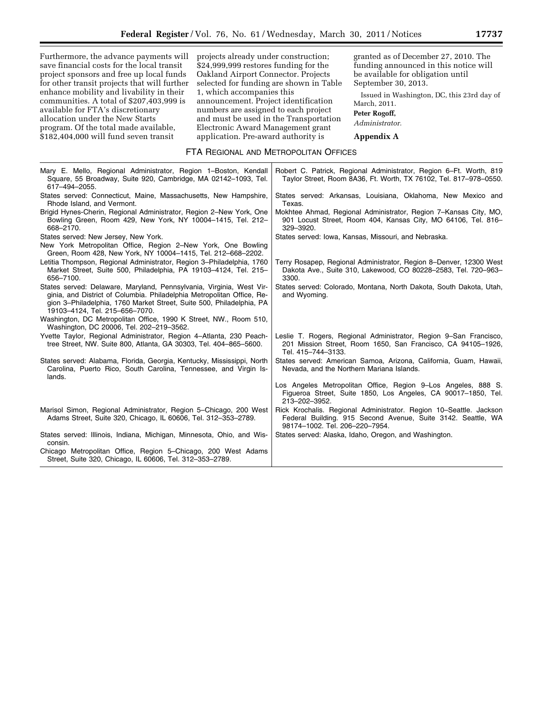Furthermore, the advance payments will save financial costs for the local transit project sponsors and free up local funds for other transit projects that will further enhance mobility and livability in their communities. A total of \$207,403,999 is available for FTA's discretionary allocation under the New Starts program. Of the total made available, \$182,404,000 will fund seven transit

projects already under construction; \$24,999,999 restores funding for the Oakland Airport Connector. Projects selected for funding are shown in Table 1, which accompanies this announcement. Project identification numbers are assigned to each project and must be used in the Transportation Electronic Award Management grant application. Pre-award authority is

granted as of December 27, 2010. The funding announced in this notice will be available for obligation until September 30, 2013.

Issued in Washington, DC, this 23rd day of March, 2011.

**Peter Rogoff,** 

*Administrator.* 

**Appendix A** 

## FTA REGIONAL AND METROPOLITAN OFFICES

| Mary E. Mello, Regional Administrator, Region 1–Boston, Kendall<br>Square, 55 Broadway, Suite 920, Cambridge, MA 02142-1093, Tel.<br>617-494-2055.                                                                                                       | Robert C. Patrick, Regional Administrator, Region 6–Ft. Worth, 819<br>Taylor Street, Room 8A36, Ft. Worth, TX 76102, Tel. 817-978-0550.                              |
|----------------------------------------------------------------------------------------------------------------------------------------------------------------------------------------------------------------------------------------------------------|----------------------------------------------------------------------------------------------------------------------------------------------------------------------|
| States served: Connecticut, Maine, Massachusetts, New Hampshire,<br>Rhode Island, and Vermont.                                                                                                                                                           | States served: Arkansas, Louisiana, Oklahoma, New Mexico and<br>Texas.                                                                                               |
| Brigid Hynes-Cherin, Regional Administrator, Region 2-New York, One<br>Bowling Green, Room 429, New York, NY 10004-1415, Tel. 212-<br>668-2170.                                                                                                          | Mokhtee Ahmad, Regional Administrator, Region 7–Kansas City, MO,<br>901 Locust Street, Room 404, Kansas City, MO 64106, Tel. 816-<br>329-3920.                       |
| States served: New Jersey, New York.                                                                                                                                                                                                                     | States served: Iowa, Kansas, Missouri, and Nebraska.                                                                                                                 |
| New York Metropolitan Office, Region 2–New York, One Bowling<br>Green, Room 428, New York, NY 10004-1415, Tel. 212-668-2202.                                                                                                                             |                                                                                                                                                                      |
| Letitia Thompson, Regional Administrator, Region 3-Philadelphia, 1760<br>Market Street, Suite 500, Philadelphia, PA 19103-4124, Tel. 215-<br>656-7100.                                                                                                   | Terry Rosapep, Regional Administrator, Region 8–Denver, 12300 West<br>Dakota Ave., Suite 310, Lakewood, CO 80228-2583, Tel. 720-963-<br>3300.                        |
| States served: Delaware, Maryland, Pennsylvania, Virginia, West Vir-<br>ginia, and District of Columbia. Philadelphia Metropolitan Office, Re-<br>gion 3-Philadelphia, 1760 Market Street, Suite 500, Philadelphia, PA<br>19103-4124, Tel. 215-656-7070. | States served: Colorado, Montana, North Dakota, South Dakota, Utah,<br>and Wyoming.                                                                                  |
| Washington, DC Metropolitan Office, 1990 K Street, NW., Room 510,<br>Washington, DC 20006, Tel. 202-219-3562.                                                                                                                                            |                                                                                                                                                                      |
| Yvette Taylor, Regional Administrator, Region 4-Atlanta, 230 Peach-<br>tree Street, NW. Suite 800, Atlanta, GA 30303, Tel. 404-865-5600.                                                                                                                 | Leslie T. Rogers, Regional Administrator, Region 9–San Francisco,<br>201 Mission Street, Room 1650, San Francisco, CA 94105-1926,<br>Tel. 415-744-3133.              |
| States served: Alabama, Florida, Georgia, Kentucky, Mississippi, North<br>Carolina, Puerto Rico, South Carolina, Tennessee, and Virgin Is-<br>lands.                                                                                                     | States served: American Samoa, Arizona, California, Guam, Hawaii,<br>Nevada, and the Northern Mariana Islands.                                                       |
|                                                                                                                                                                                                                                                          | Los Angeles Metropolitan Office, Region 9–Los Angeles, 888 S.<br>Figueroa Street, Suite 1850, Los Angeles, CA 90017-1850, Tel.<br>213-202-3952.                      |
| Marisol Simon, Regional Administrator, Region 5–Chicago, 200 West<br>Adams Street, Suite 320, Chicago, IL 60606, Tel. 312-353-2789.                                                                                                                      | Rick Krochalis. Regional Administrator. Region 10–Seattle. Jackson<br>Federal Building. 915 Second Avenue, Suite 3142. Seattle, WA<br>98174-1002. Tel. 206-220-7954. |
| States served: Illinois, Indiana, Michigan, Minnesota, Ohio, and Wis-<br>consin.                                                                                                                                                                         | States served: Alaska, Idaho, Oregon, and Washington.                                                                                                                |
| Chicago Metropolitan Office, Region 5–Chicago, 200 West Adams<br>Street, Suite 320, Chicago, IL 60606, Tel. 312-353-2789.                                                                                                                                |                                                                                                                                                                      |